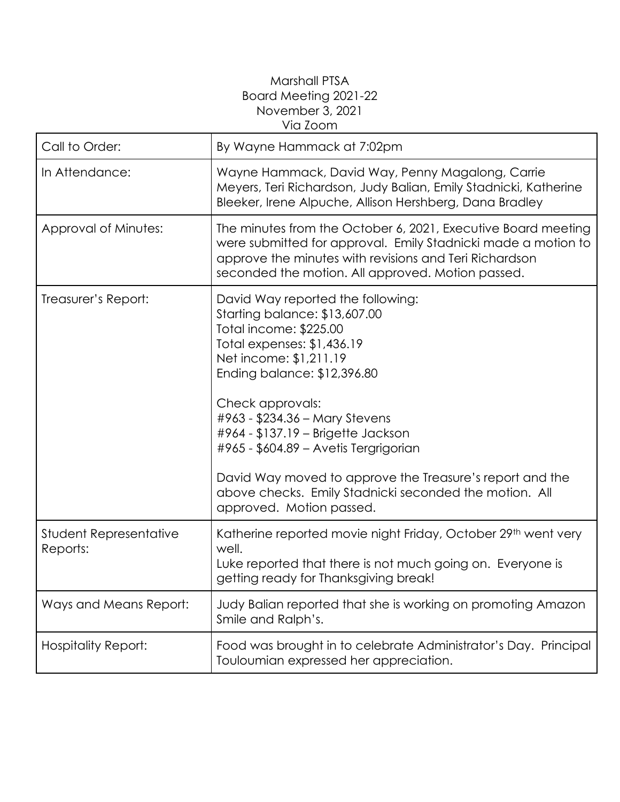## Marshall PTSA Board Meeting 2021-22 November 3, 2021 Via Zoom

| Call to Order:                     | By Wayne Hammack at 7:02pm                                                                                                                                                                                                                                                                                                                                                                                                                                                 |
|------------------------------------|----------------------------------------------------------------------------------------------------------------------------------------------------------------------------------------------------------------------------------------------------------------------------------------------------------------------------------------------------------------------------------------------------------------------------------------------------------------------------|
| In Attendance:                     | Wayne Hammack, David Way, Penny Magalong, Carrie<br>Meyers, Teri Richardson, Judy Balian, Emily Stadnicki, Katherine<br>Bleeker, Irene Alpuche, Allison Hershberg, Dana Bradley                                                                                                                                                                                                                                                                                            |
| Approval of Minutes:               | The minutes from the October 6, 2021, Executive Board meeting<br>were submitted for approval. Emily Stadnicki made a motion to<br>approve the minutes with revisions and Teri Richardson<br>seconded the motion. All approved. Motion passed.                                                                                                                                                                                                                              |
| Treasurer's Report:                | David Way reported the following:<br>Starting balance: \$13,607.00<br>Total income: \$225.00<br>Total expenses: \$1,436.19<br>Net income: \$1,211.19<br>Ending balance: \$12,396.80<br>Check approvals:<br>#963 - \$234.36 - Mary Stevens<br>#964 - \$137.19 - Brigette Jackson<br>#965 - \$604.89 - Avetis Tergrigorian<br>David Way moved to approve the Treasure's report and the<br>above checks. Emily Stadnicki seconded the motion. All<br>approved. Motion passed. |
| Student Representative<br>Reports: | Katherine reported movie night Friday, October 29th went very<br>well.<br>Luke reported that there is not much going on. Everyone is<br>getting ready for Thanksgiving break!                                                                                                                                                                                                                                                                                              |
| Ways and Means Report:             | Judy Balian reported that she is working on promoting Amazon<br>Smile and Ralph's.                                                                                                                                                                                                                                                                                                                                                                                         |
| <b>Hospitality Report:</b>         | Food was brought in to celebrate Administrator's Day. Principal<br>Touloumian expressed her appreciation.                                                                                                                                                                                                                                                                                                                                                                  |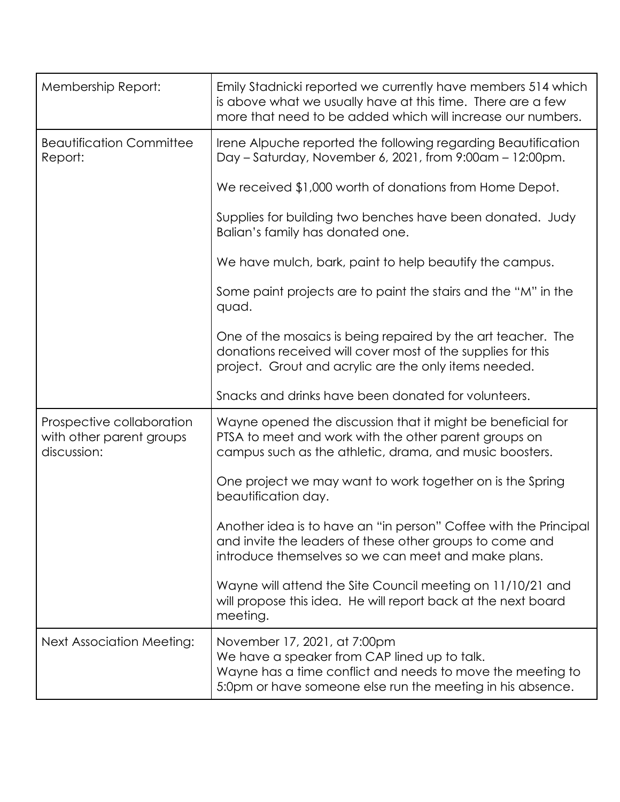| Membership Report:                                                   | Emily Stadnicki reported we currently have members 514 which<br>is above what we usually have at this time. There are a few<br>more that need to be added which will increase our numbers.               |
|----------------------------------------------------------------------|----------------------------------------------------------------------------------------------------------------------------------------------------------------------------------------------------------|
| <b>Beautification Committee</b><br>Report:                           | Irene Alpuche reported the following regarding Beautification<br>Day - Saturday, November 6, 2021, from 9:00am - 12:00pm.                                                                                |
|                                                                      | We received \$1,000 worth of donations from Home Depot.                                                                                                                                                  |
|                                                                      | Supplies for building two benches have been donated. Judy<br>Balian's family has donated one.                                                                                                            |
|                                                                      | We have mulch, bark, paint to help beautify the campus.                                                                                                                                                  |
|                                                                      | Some paint projects are to paint the stairs and the "M" in the<br>quad.                                                                                                                                  |
|                                                                      | One of the mosaics is being repaired by the art teacher. The<br>donations received will cover most of the supplies for this<br>project. Grout and acrylic are the only items needed.                     |
|                                                                      | Snacks and drinks have been donated for volunteers.                                                                                                                                                      |
| Prospective collaboration<br>with other parent groups<br>discussion: | Wayne opened the discussion that it might be beneficial for<br>PTSA to meet and work with the other parent groups on<br>campus such as the athletic, drama, and music boosters.                          |
|                                                                      | One project we may want to work together on is the Spring<br>beautification day.                                                                                                                         |
|                                                                      | Another idea is to have an "in person" Coffee with the Principal<br>and invite the leaders of these other groups to come and<br>introduce themselves so we can meet and make plans.                      |
|                                                                      | Wayne will attend the Site Council meeting on 11/10/21 and<br>will propose this idea. He will report back at the next board<br>meeting.                                                                  |
| <b>Next Association Meeting:</b>                                     | November 17, 2021, at 7:00pm<br>We have a speaker from CAP lined up to talk.<br>Wayne has a time conflict and needs to move the meeting to<br>5:0pm or have someone else run the meeting in his absence. |